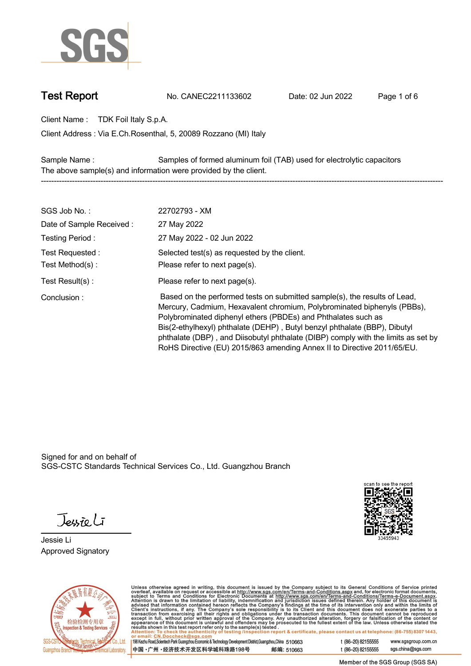

**Test Report. No. CANEC2211133602 . Date: 02 Jun 2022. Page 1 of 6.**

**Client Name : TDK Foil Italy S.p.A. .**

**Via E.Ch.Rosenthal, 5, 20089 Rozzano (MI) Italy . Client Address :**

**Sample Name : Samples of formed aluminum foil (TAB) used for electrolytic capacitors . The above sample(s) and information were provided by the client. -----------------------------------------------------------------------------------------------------------------------------------------------------------**

| SGS Job No.:             | 22702793 - XM                                                                                                                                                                                                                                                                                                                                                                                                                                                      |
|--------------------------|--------------------------------------------------------------------------------------------------------------------------------------------------------------------------------------------------------------------------------------------------------------------------------------------------------------------------------------------------------------------------------------------------------------------------------------------------------------------|
| Date of Sample Received: | 27 May 2022                                                                                                                                                                                                                                                                                                                                                                                                                                                        |
| Testing Period:          | 27 May 2022 - 02 Jun 2022                                                                                                                                                                                                                                                                                                                                                                                                                                          |
| Test Requested:          | Selected test(s) as requested by the client.                                                                                                                                                                                                                                                                                                                                                                                                                       |
| Test Method(s):          | Please refer to next page(s).                                                                                                                                                                                                                                                                                                                                                                                                                                      |
| Test Result(s) :         | Please refer to next page(s).                                                                                                                                                                                                                                                                                                                                                                                                                                      |
| Conclusion:              | Based on the performed tests on submitted sample(s), the results of Lead,<br>Mercury, Cadmium, Hexavalent chromium, Polybrominated biphenyls (PBBs),<br>Polybrominated diphenyl ethers (PBDEs) and Phthalates such as<br>Bis(2-ethylhexyl) phthalate (DEHP), Butyl benzyl phthalate (BBP), Dibutyl<br>phthalate (DBP), and Diisobutyl phthalate (DIBP) comply with the limits as set by<br>RoHS Directive (EU) 2015/863 amending Annex II to Directive 2011/65/EU. |

Signed for and on behalf of SGS-CSTC Standards Technical Services Co., Ltd. Guangzhou Branch.

Jessieli

**Jessie Li. Approved Signatory .**





Unless otherwise agreed in writing, this document is issued by the Company subject to its General Conditions of Service printed<br>overleaf, available on request or accessible at http://www.sgs.com/en/Terms-and-Conditions.as

| 198 Kezhu Road, Scientech Park Guangzhou Economic & Technology Development District, Guangzhou, China 510663 |            |
|--------------------------------------------------------------------------------------------------------------|------------|
| 中国 •广州 •经济技术开发区科学城科珠路198号                                                                                    | 邮编: 510663 |

t (86-20) 82155555 www.sgsgroup.com.cn sgs.china@sgs.com t (86-20) 82155555

Member of the SGS Group (SGS SA)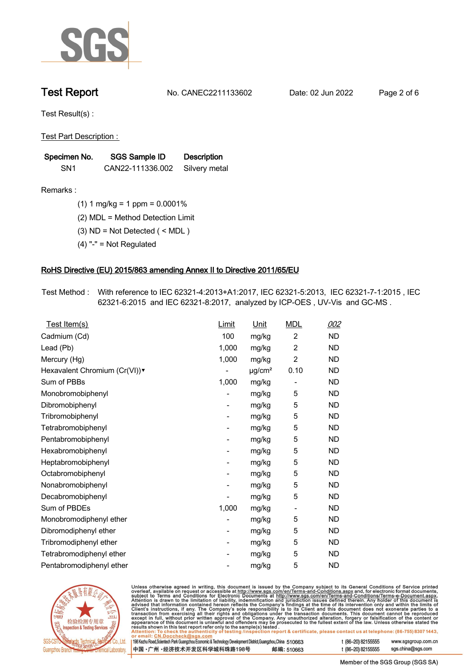

**Test Report. No. CANEC2211133602 . Date: 02 Jun 2022. Page 2 of 6.**

**Test Result(s) :.**

**Test Part Description : .**

| Specimen No.    | SGS Sample ID    | <b>Description</b> |  |
|-----------------|------------------|--------------------|--|
| SN <sub>1</sub> | CAN22-111336.002 | Silvery metal      |  |

- **Remarks :.(1) 1 mg/kg = 1 ppm = 0.0001% .**
	- **(2) MDL = Method Detection Limit .**
	- **(3) ND = Not Detected ( < MDL ) .**
	- **(4) "-" = Not Regulated .**

## **RoHS Directive (EU) 2015/863 amending Annex II to Directive 2011/65/EU.**

**Test Method :. With reference to IEC 62321-4:2013+A1:2017, IEC 62321-5:2013, IEC 62321-7-1:2015 , IEC 62321-6:2015 and IEC 62321-8:2017, analyzed by ICP-OES , UV-Vis and GC-MS . .**

| Test Item(s)                  | Limit                    | <u>Unit</u>             | <b>MDL</b>               | 002       |
|-------------------------------|--------------------------|-------------------------|--------------------------|-----------|
| Cadmium (Cd)                  | 100                      | mg/kg                   | $\overline{c}$           | <b>ND</b> |
| Lead (Pb)                     | 1,000                    | mg/kg                   | $\overline{2}$           | ND.       |
| Mercury (Hg)                  | 1,000                    | mg/kg                   | $\overline{2}$           | <b>ND</b> |
| Hexavalent Chromium (Cr(VI))v | $\overline{\phantom{a}}$ | $\mu$ g/cm <sup>2</sup> | 0.10                     | <b>ND</b> |
| Sum of PBBs                   | 1,000                    | mg/kg                   | $\overline{\phantom{a}}$ | <b>ND</b> |
| Monobromobiphenyl             |                          | mg/kg                   | 5                        | ND.       |
| Dibromobiphenyl               | -                        | mg/kg                   | 5                        | <b>ND</b> |
| Tribromobiphenyl              |                          | mg/kg                   | 5                        | <b>ND</b> |
| Tetrabromobiphenyl            |                          | mg/kg                   | 5                        | <b>ND</b> |
| Pentabromobiphenyl            | $\overline{\phantom{0}}$ | mg/kg                   | 5                        | <b>ND</b> |
| Hexabromobiphenyl             |                          | mg/kg                   | 5                        | ND.       |
| Heptabromobiphenyl            |                          | mg/kg                   | 5                        | ND.       |
| Octabromobiphenyl             | -                        | mg/kg                   | 5                        | <b>ND</b> |
| Nonabromobiphenyl             |                          | mg/kg                   | 5                        | <b>ND</b> |
| Decabromobiphenyl             |                          | mg/kg                   | 5                        | <b>ND</b> |
| Sum of PBDEs                  | 1,000                    | mg/kg                   | $\overline{\phantom{a}}$ | <b>ND</b> |
| Monobromodiphenyl ether       |                          | mg/kg                   | 5                        | ND.       |
| Dibromodiphenyl ether         |                          | mg/kg                   | 5                        | <b>ND</b> |
| Tribromodiphenyl ether        | -                        | mg/kg                   | 5                        | <b>ND</b> |
| Tetrabromodiphenyl ether      |                          | mg/kg                   | 5                        | <b>ND</b> |
| Pentabromodiphenyl ether      |                          | mg/kg                   | 5                        | <b>ND</b> |



Unless otherwise agreed in writing, this document is issued by the Company subject to its General Conditions of Service printed overleaf, available on request or accessible at http://www.sgs.com/en/Terms-and-Conditions.as

| or email: CN.Doccheck@sqs.com                                                                                |            |                    |                     |
|--------------------------------------------------------------------------------------------------------------|------------|--------------------|---------------------|
| 198 Kezhu Road, Scientech Park Guangzhou Economic & Technology Development District, Guangzhou, China 510663 |            | t (86–20) 82155555 | www.sgsgroup.com.cn |
| ┃中国 •广州 •经济技术开发区科学城科珠路198号 ↓                                                                                 | 邮编: 510663 | t (86–20) 82155555 | sgs.china@sgs.com   |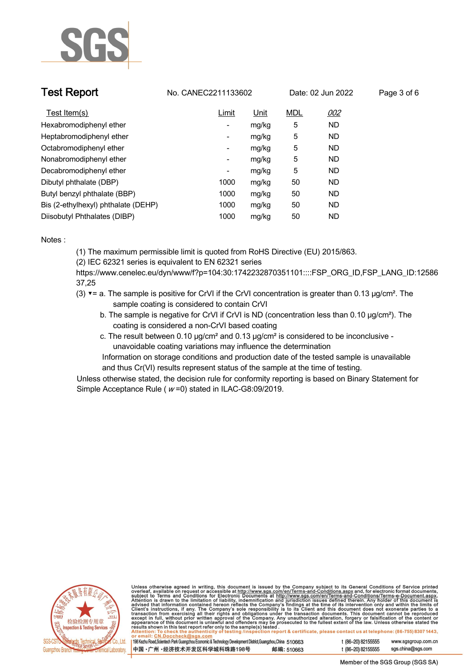

| <b>Test Report</b>                  | No. CANEC2211133602 |       |            | Date: 02 Jun 2022 | Page 3 of 6 |  |
|-------------------------------------|---------------------|-------|------------|-------------------|-------------|--|
| Test Item(s)                        | Limit               | Unit  | <b>MDL</b> | 002               |             |  |
| Hexabromodiphenyl ether             | ۰                   | mg/kg | 5          | <b>ND</b>         |             |  |
| Heptabromodiphenyl ether            | ۰                   | mg/kg | 5          | <b>ND</b>         |             |  |
| Octabromodiphenyl ether             | -                   | mg/kg | 5          | <b>ND</b>         |             |  |
| Nonabromodiphenyl ether             | Ξ.                  | mg/kg | 5          | <b>ND</b>         |             |  |
| Decabromodiphenyl ether             | -                   | mg/kg | 5          | ND                |             |  |
| Dibutyl phthalate (DBP)             | 1000                | mg/kg | 50         | <b>ND</b>         |             |  |
| Butyl benzyl phthalate (BBP)        | 1000                | mg/kg | 50         | <b>ND</b>         |             |  |
| Bis (2-ethylhexyl) phthalate (DEHP) | 1000                | mg/kg | 50         | <b>ND</b>         |             |  |
| Diisobutyl Phthalates (DIBP)        | 1000                | mg/kg | 50         | ND                |             |  |

### **Notes :.**

**(1) The maximum permissible limit is quoted from RoHS Directive (EU) 2015/863.**

**(2) IEC 62321 series is equivalent to EN 62321 series**

**https://www.cenelec.eu/dyn/www/f?p=104:30:1742232870351101::::FSP\_ORG\_ID,FSP\_LANG\_ID:12586 37,25**

- **(3) ▼= a. The sample is positive for CrVI if the CrVI concentration is greater than 0.13 μg/cm². The sample coating is considered to contain CrVI**
	- **b. The sample is negative for CrVI if CrVI is ND (concentration less than 0.10 μg/cm²). The coating is considered a non-CrVI based coating**
	- **c. The result between 0.10 μg/cm² and 0.13 μg/cm² is considered to be inconclusive unavoidable coating variations may influence the determination**

 **Information on storage conditions and production date of the tested sample is unavailable and thus Cr(VI) results represent status of the sample at the time of testing. .**

**Unless otherwise stated, the decision rule for conformity reporting is based on Binary Statement for Simple Acceptance Rule ( <sup>w</sup> =0) stated in ILAC-G8:09/2019. .**



Unless otherwise agreed in writing, this document is issued by the Company subject to its General Conditions of Service printed<br>overleaf, available on request or accessible at http://www.sgs.com/en/Terms-and-Conditions.as

| 198 Kezhu Road,Scientech Park Guangzhou Economic & Technology Development District,Guangzhou,China 510663 |            |  |
|-----------------------------------------------------------------------------------------------------------|------------|--|
| 中国 •广州 •经济技术开发区科学城科珠路198号                                                                                 | 邮编: 510663 |  |

t (86-20) 82155555 sas.china@sas.com

www.sgsgroup.com.cn

t (86-20) 82155555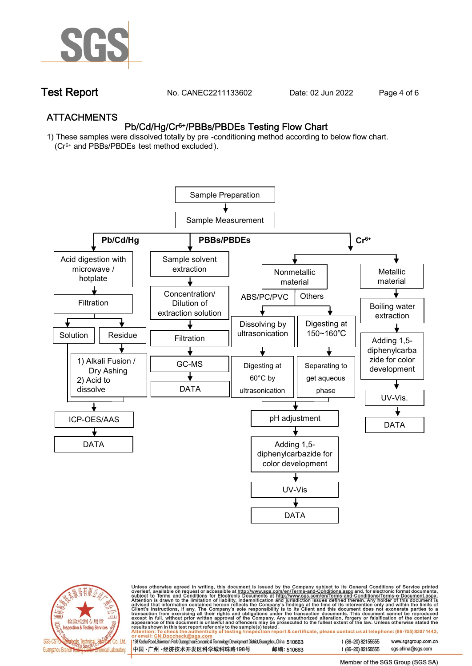

**Test Report. No. CANEC2211133602 . Date: 02 Jun 2022. Page 4 of 6.**

## **ATTACHMENTS Pb/Cd/Hg/Cr6+/PBBs/PBDEs Testing Flow Chart**

**1) These samples were dissolved totally by pre -conditioning method according to below flow chart. (Cr6+ and PBBs/PBDEs test method excluded ).**





Unless otherwise agreed in writing, this document is issued by the Company subject to its General Conditions of Service printed<br>overleaf, available on request or accessible at http://www.sgs.com/en/Terms-and-Conditions.as

| 198 Kezhu Road,Scientech Park Guangzhou Economic & Technology Development District,Guangzhou,China 510663 |            |
|-----------------------------------------------------------------------------------------------------------|------------|
| 中国 •广州 •经济技术开发区科学城科珠路198号                                                                                 | 邮编: 510663 |

t (86-20) 82155555 sas.china@sas.com

t (86-20) 82155555

www.sgsgroup.com.cn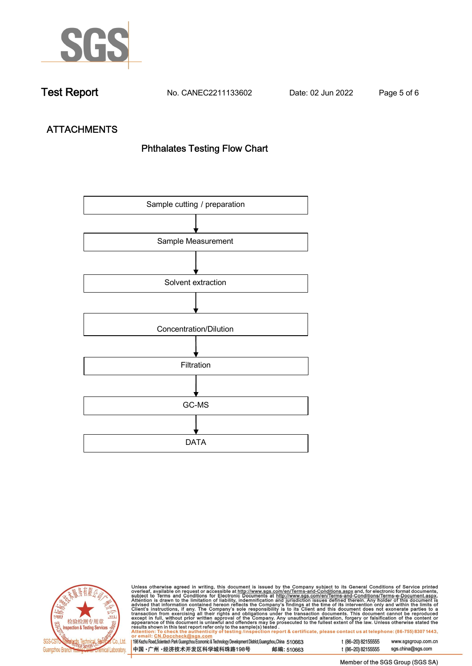

**Test Report. No. CANEC2211133602 . Date: 02 Jun 2022. Page 5 of 6.**

# **ATTACHMENTS Phthalates Testing Flow Chart**





Unless otherwise agreed in writing, this document is issued by the Company subject to its General Conditions of Service printed overleaf, available on request or accessible at http://www.sgs.com/en/Terms-and-Conditions.as

| or email: CN.Doccheck@sus.com                                                                             |            |  |
|-----------------------------------------------------------------------------------------------------------|------------|--|
| 198 Kezhu Road,Scientech Park Guangzhou Economic & Technology Development District,Guangzhou,China 510663 |            |  |
|                                                                                                           |            |  |
|                                                                                                           |            |  |
| 中国 •广州 •经济技术开发区科学城科珠路198号                                                                                 | 邮编: 510663 |  |
|                                                                                                           |            |  |

t (86-20) 82155555 www.sgsgroup.com.cn t (86-20) 82155555 sgs.china@sgs.com